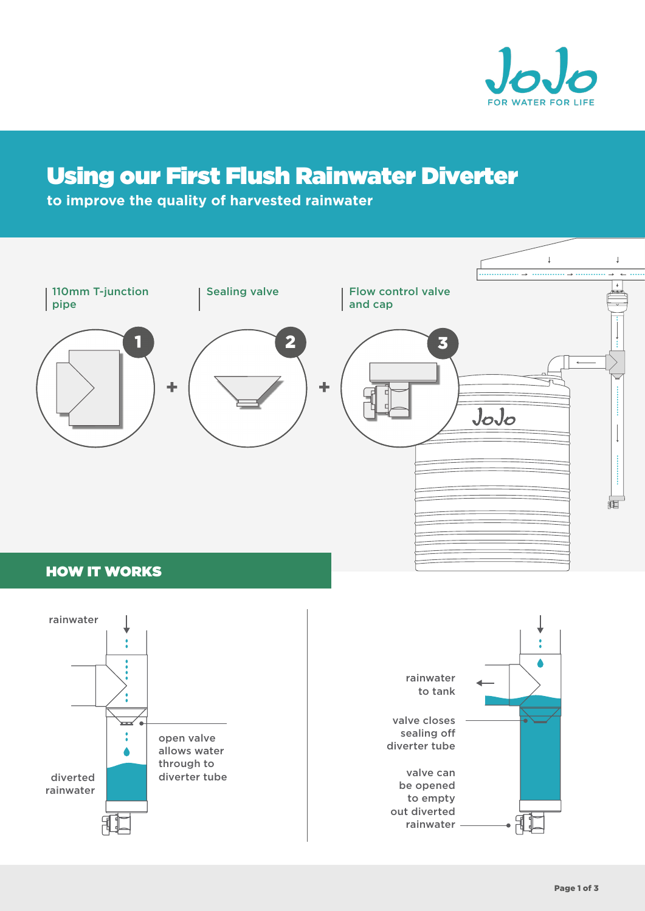

# Using our First Flush Rainwater Diverter

**to improve the quality of harvested rainwater**



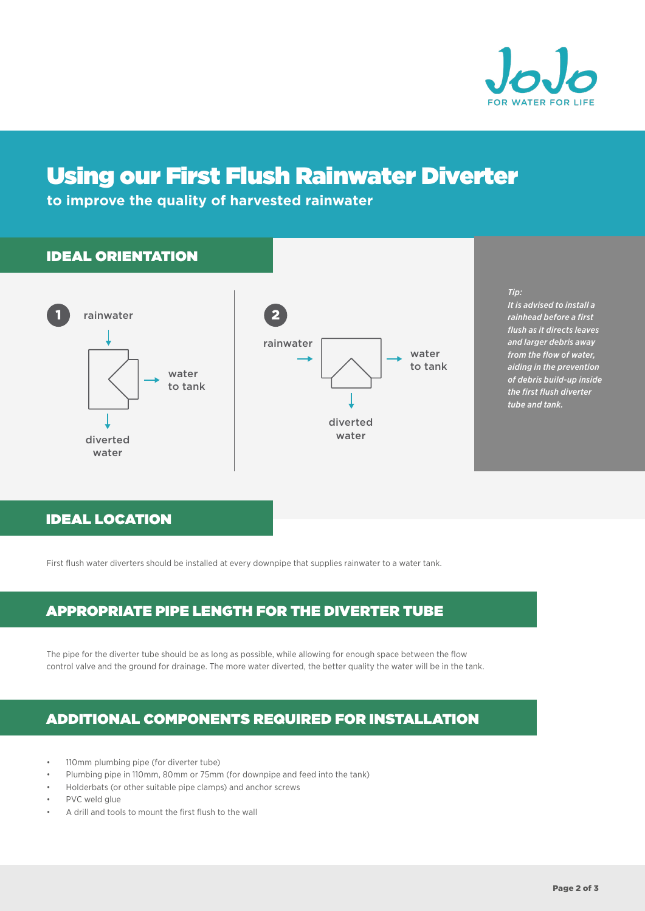

# Using our First Flush Rainwater Diverter

**to improve the quality of harvested rainwater**

## IDEAL ORIENTATION





#### *Tip:*

*It is advised to install a rainhead before a first flush as it directs leaves and larger debris away from the flow of water, aiding in the prevention of debris build-up inside the first flush diverter tube and tank.* 

## IDEAL LOCATION

First flush water diverters should be installed at every downpipe that supplies rainwater to a water tank.

## APPROPRIATE PIPE LENGTH FOR THE DIVERTER TUBE

The pipe for the diverter tube should be as long as possible, while allowing for enough space between the flow control valve and the ground for drainage. The more water diverted, the better quality the water will be in the tank.

## ADDITIONAL COMPONENTS REQUIRED FOR INSTALLATION

- 110mm plumbing pipe (for diverter tube)
- Plumbing pipe in 110mm, 80mm or 75mm (for downpipe and feed into the tank)
- Holderbats (or other suitable pipe clamps) and anchor screws
- PVC weld glue
- A drill and tools to mount the first flush to the wall